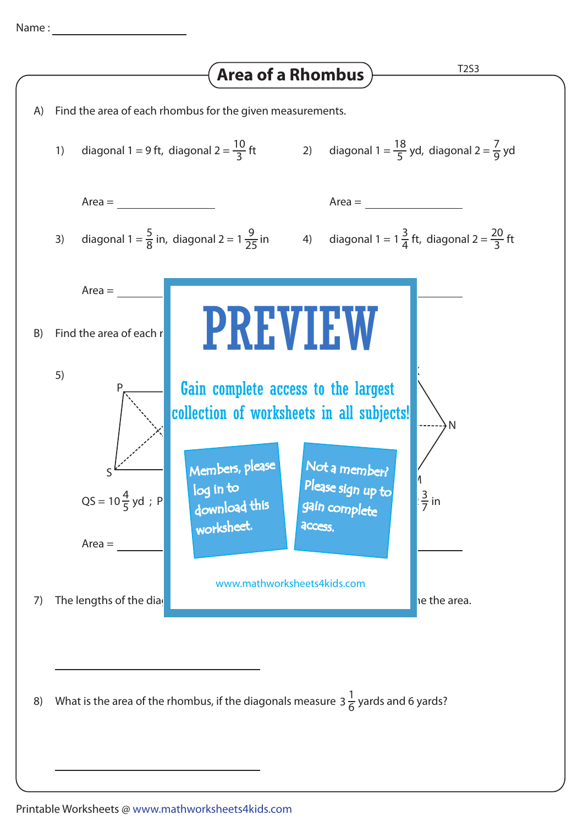